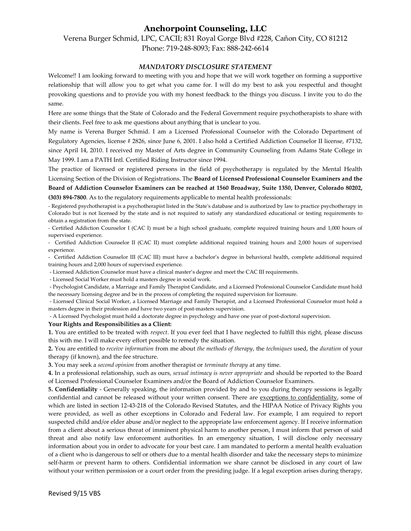## **Anchorpoint Counseling, LLC**

Verena Burger Schmid, LPC, CACII; 831 Royal Gorge Blvd #228, Cañon City, CO 81212 Phone: 719-248-8093; Fax: 888-242-6614

## *MANDATORY DISCLOSURE STATEMENT*

Welcome!! I am looking forward to meeting with you and hope that we will work together on forming a supportive relationship that will allow you to get what you came for. I will do my best to ask you respectful and thought provoking questions and to provide you with my honest feedback to the things you discuss. I invite you to do the same.

Here are some things that the State of Colorado and the Federal Government require psychotherapists to share with their clients. Feel free to ask me questions about anything that is unclear to you.

My name is Verena Burger Schmid. I am a Licensed Professional Counselor with the Colorado Department of Regulatory Agencies, license # 2826, since June 6, 2001. I also hold a Certified Addiction Counselor II license, #7132, since April 14, 2010. I received my Master of Arts degree in Community Counseling from Adams State College in May 1999. I am a PATH Intl. Certified Riding Instructor since 1994.

The practice of licensed or registered persons in the field of psychotherapy is regulated by the Mental Health Licensing Section of the Division of Registrations. The **Board of Licensed Professional Counselor Examiners and the** 

**Board of Addiction Counselor Examiners can be reached at 1560 Broadway, Suite 1350, Denver, Colorado 80202, (303) 894-7800**. As to the regulatory requirements applicable to mental health professionals:

- Registered psychotherapist is a psychotherapist listed in the State's database and is authorized by law to practice psychotherapy in Colorado but is not licensed by the state and is not required to satisfy any standardized educational or testing requirements to obtain a registration from the state.

- Certified Addiction Counselor I (CAC I) must be a high school graduate, complete required training hours and 1,000 hours of supervised experience.

- Certified Addiction Counselor II (CAC II) must complete additional required training hours and 2,000 hours of supervised experience.

- Certified Addiction Counselor III (CAC III) must have a bachelor's degree in behavioral health, complete additional required training hours and 2,000 hours of supervised experience.

- Licensed Addiction Counselor must have a clinical master's degree and meet the CAC III requirements.

- Licensed Social Worker must hold a masters degree in social work.

- Psychologist Candidate, a Marriage and Family Therapist Candidate, and a Licensed Professional Counselor Candidate must hold the necessary licensing degree and be in the process of completing the required supervision for licensure.

- Licensed Clinical Social Worker, a Licensed Marriage and Family Therapist, and a Licensed Professional Counselor must hold a masters degree in their profession and have two years of post-masters supervision.

- A Licensed Psychologist must hold a doctorate degree in psychology and have one year of post-doctoral supervision.

## **Your Rights and Responsibilities as a Client:**

**1.** You are entitled to be treated with *respect*. If you ever feel that I have neglected to fulfill this right, please discuss this with me. I will make every effort possible to remedy the situation.

**2.** You are entitled to *receive information* from me about *the methods of therapy*, the *techniques* used, the *duration* of your therapy (if known), and the fee structure.

**3.** You may seek a *second opinion* from another therapist or *terminate therapy* at any time.

**4.** In a professional relationship, such as ours, *sexual intimacy is never appropriate* and should be reported to the Board of Licensed Professional Counselor Examiners and/or the Board of Addiction Counselor Examiners.

**5. Confidentiality** - Generally speaking, the information provided by and to you during therapy sessions is legally confidential and cannot be released without your written consent. There are exceptions to confidentiality, some of which are listed in section 12-43-218 of the Colorado Revised Statutes, and the HIPAA Notice of Privacy Rights you were provided, as well as other exceptions in Colorado and Federal law. For example, I am required to report suspected child and/or elder abuse and/or neglect to the appropriate law enforcement agency. If I receive information from a client about a serious threat of imminent physical harm to another person, I must inform that person of said threat and also notify law enforcement authorities. In an emergency situation, I will disclose only necessary information about you in order to advocate for your best care. I am mandated to perform a mental health evaluation of a client who is dangerous to self or others due to a mental health disorder and take the necessary steps to minimize self-harm or prevent harm to others. Confidential information we share cannot be disclosed in any court of law without your written permission or a court order from the presiding judge. If a legal exception arises during therapy,